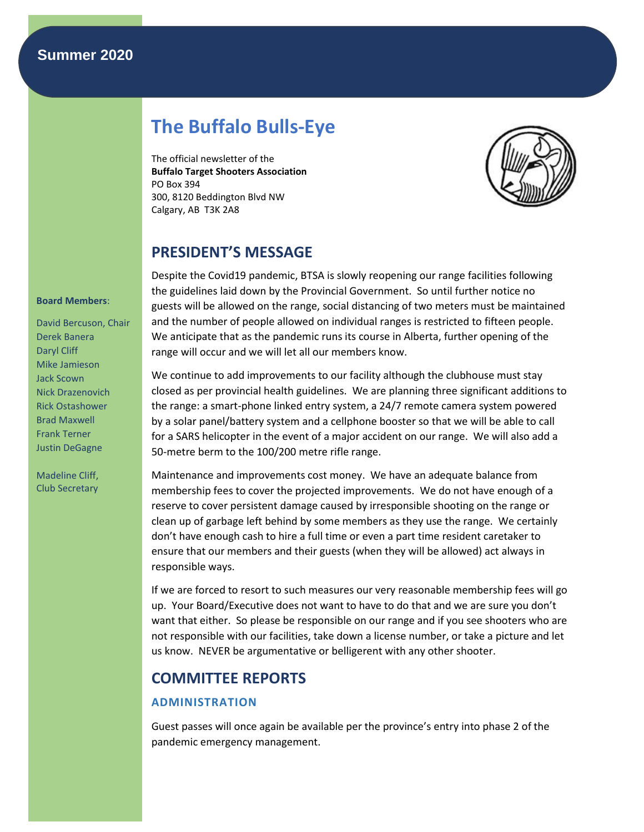# **Summer 2020**

# **The Buffalo Bulls-Eye**

The official newsletter of the **Buffalo Target Shooters Association** PO Box 394 300, 8120 Beddington Blvd NW Calgary, AB T3K 2A8



# **PRESIDENT'S MESSAGE**

Despite the Covid19 pandemic, BTSA is slowly reopening our range facilities following the guidelines laid down by the Provincial Government. So until further notice no guests will be allowed on the range, social distancing of two meters must be maintained and the number of people allowed on individual ranges is restricted to fifteen people. We anticipate that as the pandemic runs its course in Alberta, further opening of the range will occur and we will let all our members know.

We continue to add improvements to our facility although the clubhouse must stay closed as per provincial health guidelines. We are planning three significant additions to the range: a smart-phone linked entry system, a 24/7 remote camera system powered by a solar panel/battery system and a cellphone booster so that we will be able to call for a SARS helicopter in the event of a major accident on our range. We will also add a 50-metre berm to the 100/200 metre rifle range.

Maintenance and improvements cost money. We have an adequate balance from membership fees to cover the projected improvements. We do not have enough of a reserve to cover persistent damage caused by irresponsible shooting on the range or clean up of garbage left behind by some members as they use the range. We certainly don't have enough cash to hire a full time or even a part time resident caretaker to ensure that our members and their guests (when they will be allowed) act always in responsible ways.

If we are forced to resort to such measures our very reasonable membership fees will go up. Your Board/Executive does not want to have to do that and we are sure you don't want that either. So please be responsible on our range and if you see shooters who are not responsible with our facilities, take down a license number, or take a picture and let us know. NEVER be argumentative or belligerent with any other shooter.

# **COMMITTEE REPORTS**

# **ADMINISTRATION**

Guest passes will once again be available per the province's entry into phase 2 of the pandemic emergency management.

#### **Board Members**:

David Bercuson, Chair Derek Banera Daryl Cliff Mike Jamieson Jack Scown Nick Drazenovich Rick Ostashower Brad Maxwell Frank Terner Justin DeGagne

Madeline Cliff, Club Secretary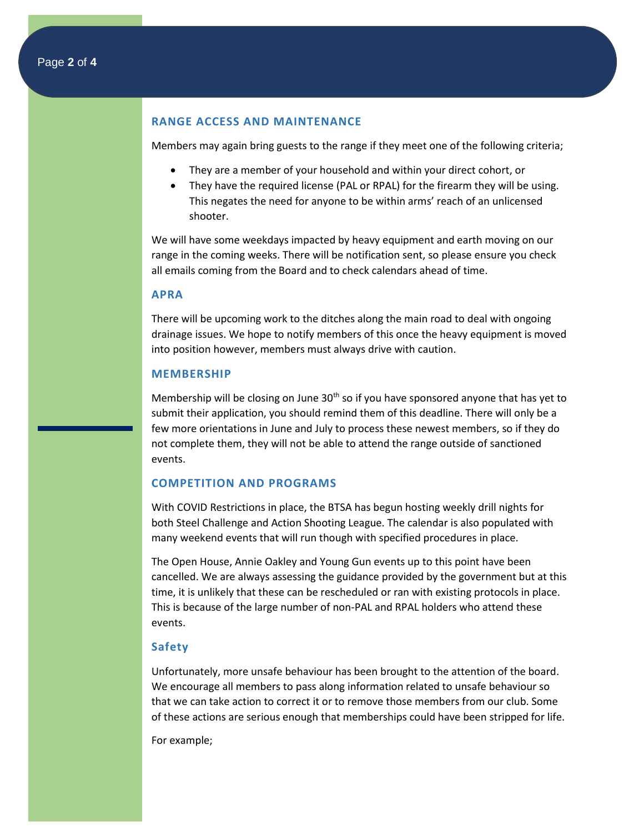# **RANGE ACCESS AND MAINTENANCE**

Members may again bring guests to the range if they meet one of the following criteria;

- They are a member of your household and within your direct cohort, or
- They have the required license (PAL or RPAL) for the firearm they will be using. This negates the need for anyone to be within arms' reach of an unlicensed shooter.

We will have some weekdays impacted by heavy equipment and earth moving on our range in the coming weeks. There will be notification sent, so please ensure you check all emails coming from the Board and to check calendars ahead of time.

# **APRA**

There will be upcoming work to the ditches along the main road to deal with ongoing drainage issues. We hope to notify members of this once the heavy equipment is moved into position however, members must always drive with caution.

#### **MEMBERSHIP**

Membership will be closing on June  $30<sup>th</sup>$  so if you have sponsored anyone that has yet to submit their application, you should remind them of this deadline. There will only be a few more orientations in June and July to process these newest members, so if they do not complete them, they will not be able to attend the range outside of sanctioned events.

### **COMPETITION AND PROGRAMS**

With COVID Restrictions in place, the BTSA has begun hosting weekly drill nights for both Steel Challenge and Action Shooting League. The calendar is also populated with many weekend events that will run though with specified procedures in place.

The Open House, Annie Oakley and Young Gun events up to this point have been cancelled. We are always assessing the guidance provided by the government but at this time, it is unlikely that these can be rescheduled or ran with existing protocols in place. This is because of the large number of non-PAL and RPAL holders who attend these events.

## **Safety**

Unfortunately, more unsafe behaviour has been brought to the attention of the board. We encourage all members to pass along information related to unsafe behaviour so that we can take action to correct it or to remove those members from our club. Some of these actions are serious enough that memberships could have been stripped for life.

For example;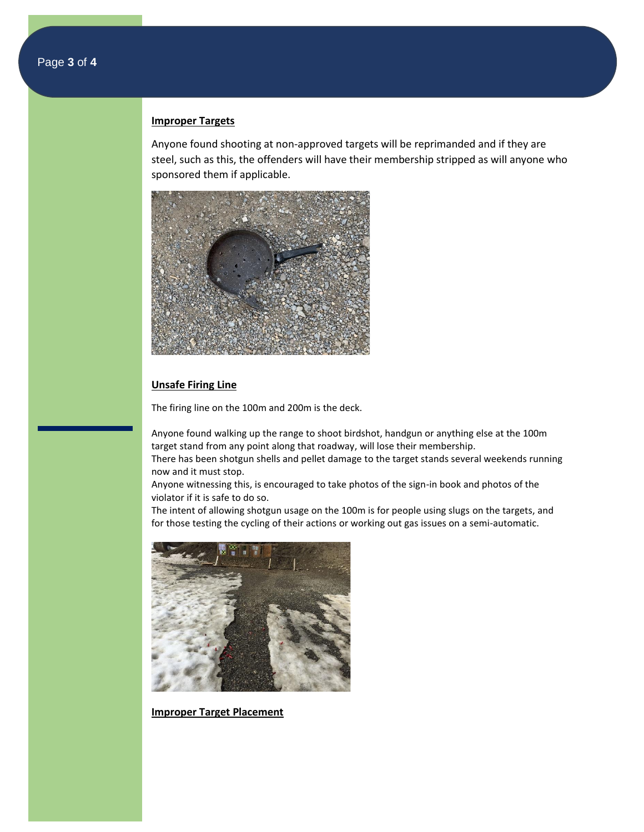### **Improper Targets**

Anyone found shooting at non-approved targets will be reprimanded and if they are steel, such as this, the offenders will have their membership stripped as will anyone who sponsored them if applicable.



## **Unsafe Firing Line**

The firing line on the 100m and 200m is the deck.

Anyone found walking up the range to shoot birdshot, handgun or anything else at the 100m target stand from any point along that roadway, will lose their membership.

There has been shotgun shells and pellet damage to the target stands several weekends running now and it must stop.

Anyone witnessing this, is encouraged to take photos of the sign-in book and photos of the violator if it is safe to do so.

The intent of allowing shotgun usage on the 100m is for people using slugs on the targets, and for those testing the cycling of their actions or working out gas issues on a semi-automatic.



**Improper Target Placement**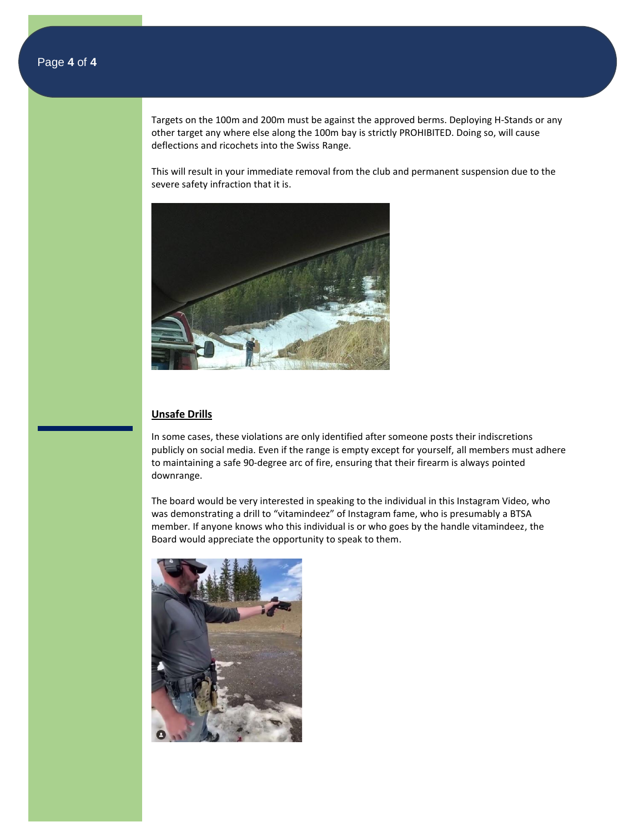Targets on the 100m and 200m must be against the approved berms. Deploying H-Stands or any other target any where else along the 100m bay is strictly PROHIBITED. Doing so, will cause deflections and ricochets into the Swiss Range.

This will result in your immediate removal from the club and permanent suspension due to the severe safety infraction that it is.



## **Unsafe Drills**

In some cases, these violations are only identified after someone posts their indiscretions publicly on social media. Even if the range is empty except for yourself, all members must adhere to maintaining a safe 90-degree arc of fire, ensuring that their firearm is always pointed downrange.

The board would be very interested in speaking to the individual in this Instagram Video, who was demonstrating a drill to "vitamindeez" of Instagram fame, who is presumably a BTSA member. If anyone knows who this individual is or who goes by the handle vitamindeez, the Board would appreciate the opportunity to speak to them.